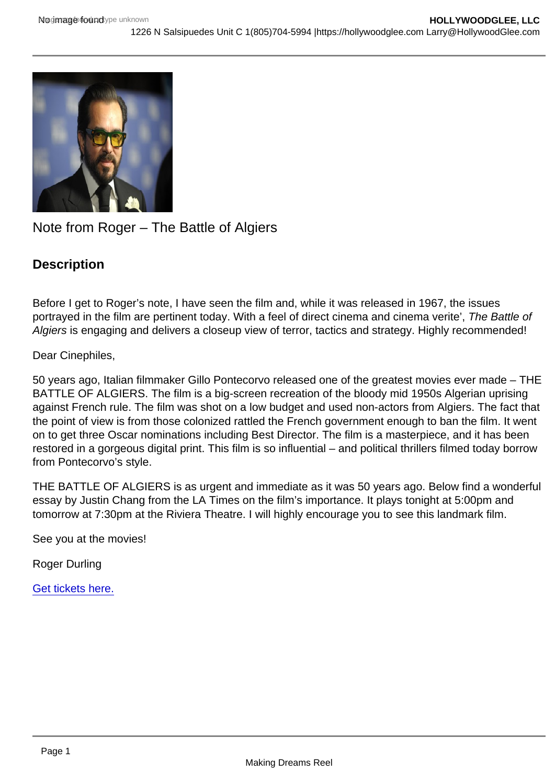# Note from Roger – The Battle of Algiers

**Description** 

Before I get to Roger's note, I have seen the film and, while it was released in 1967, the issues portrayed in the film are pertinent today. With a feel of direct cinema and cinema verite', The Battle of Algiers is engaging and delivers a closeup view of terror, tactics and strategy. Highly recommended!

## Dear Cinephiles,

50 years ago, Italian filmmaker Gillo Pontecorvo released one of the greatest movies ever made – THE BATTLE OF ALGIERS. The film is a big-screen recreation of the bloody mid 1950s Algerian uprising against French rule. The film was shot on a low budget and used non-actors from Algiers. The fact that the point of view is from those colonized rattled the French government enough to ban the film. It went on to get three Oscar nominations including Best Director. The film is a masterpiece, and it has been restored in a gorgeous digital print. This film is so influential – and political thrillers filmed today borrow from Pontecorvo's style.

THE BATTLE OF ALGIERS is as urgent and immediate as it was 50 years ago. Below find a wonderful essay by Justin Chang from the LA Times on the film's importance. It plays tonight at 5:00pm and tomorrow at 7:30pm at the Riviera Theatre. I will highly encourage you to see this landmark film.

See you at the movies!

Roger Durling

[Get tickets here.](http://sbiff.org/product-category/the-showcase/)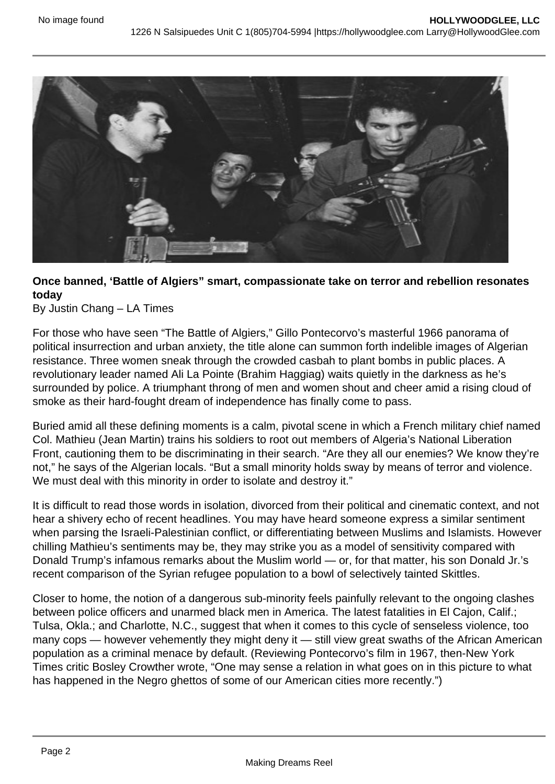

# **Once banned, 'Battle of Algiers" smart, compassionate take on terror and rebellion resonates today**

By Justin Chang – LA Times

For those who have seen "The Battle of Algiers," Gillo Pontecorvo's masterful 1966 panorama of political insurrection and urban anxiety, the title alone can summon forth indelible images of Algerian resistance. Three women sneak through the crowded casbah to plant bombs in public places. A revolutionary leader named Ali La Pointe (Brahim Haggiag) waits quietly in the darkness as he's surrounded by police. A triumphant throng of men and women shout and cheer amid a rising cloud of smoke as their hard-fought dream of independence has finally come to pass.

Buried amid all these defining moments is a calm, pivotal scene in which a French military chief named Col. Mathieu (Jean Martin) trains his soldiers to root out members of Algeria's National Liberation Front, cautioning them to be discriminating in their search. "Are they all our enemies? We know they're not," he says of the Algerian locals. "But a small minority holds sway by means of terror and violence. We must deal with this minority in order to isolate and destroy it."

It is difficult to read those words in isolation, divorced from their political and cinematic context, and not hear a shivery echo of recent headlines. You may have heard someone express a similar sentiment when parsing the Israeli-Palestinian conflict, or differentiating between Muslims and Islamists. However chilling Mathieu's sentiments may be, they may strike you as a model of sensitivity compared with Donald Trump's infamous remarks about the Muslim world — or, for that matter, his son Donald Jr.'s recent comparison of the Syrian refugee population to a bowl of selectively tainted Skittles.

Closer to home, the notion of a dangerous sub-minority feels painfully relevant to the ongoing clashes between police officers and unarmed black men in America. The latest fatalities in El Cajon, Calif.; Tulsa, Okla.; and Charlotte, N.C., suggest that when it comes to this cycle of senseless violence, too many cops — however vehemently they might deny it — still view great swaths of the African American population as a criminal menace by default. (Reviewing Pontecorvo's film in 1967, then-New York Times critic Bosley Crowther wrote, "One may sense a relation in what goes on in this picture to what has happened in the Negro ghettos of some of our American cities more recently.")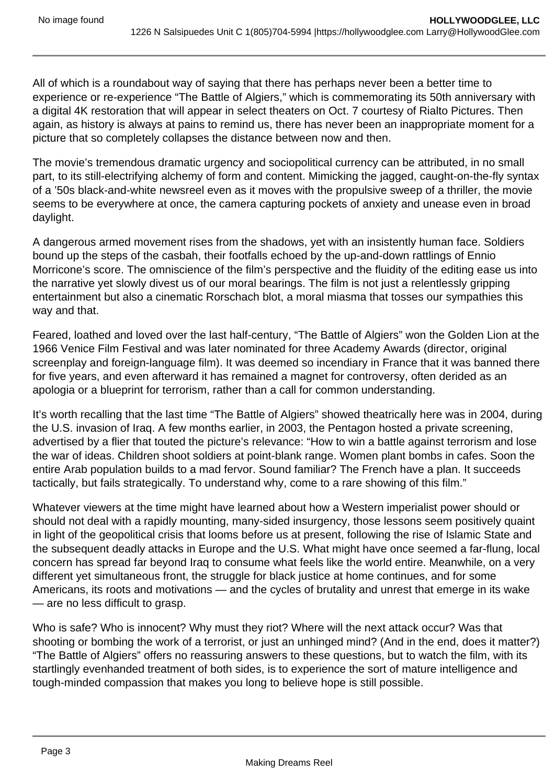All of which is a roundabout way of saying that there has perhaps never been a better time to experience or re-experience "The Battle of Algiers," which is commemorating its 50th anniversary with a digital 4K restoration that will appear in select theaters on Oct. 7 courtesy of Rialto Pictures. Then again, as history is always at pains to remind us, there has never been an inappropriate moment for a picture that so completely collapses the distance between now and then.

The movie's tremendous dramatic urgency and sociopolitical currency can be attributed, in no small part, to its still-electrifying alchemy of form and content. Mimicking the jagged, caught-on-the-fly syntax of a '50s black-and-white newsreel even as it moves with the propulsive sweep of a thriller, the movie seems to be everywhere at once, the camera capturing pockets of anxiety and unease even in broad daylight.

A dangerous armed movement rises from the shadows, yet with an insistently human face. Soldiers bound up the steps of the casbah, their footfalls echoed by the up-and-down rattlings of Ennio Morricone's score. The omniscience of the film's perspective and the fluidity of the editing ease us into the narrative yet slowly divest us of our moral bearings. The film is not just a relentlessly gripping entertainment but also a cinematic Rorschach blot, a moral miasma that tosses our sympathies this way and that.

Feared, loathed and loved over the last half-century, "The Battle of Algiers" won the Golden Lion at the 1966 Venice Film Festival and was later nominated for three Academy Awards (director, original screenplay and foreign-language film). It was deemed so incendiary in France that it was banned there for five years, and even afterward it has remained a magnet for controversy, often derided as an apologia or a blueprint for terrorism, rather than a call for common understanding.

It's worth recalling that the last time "The Battle of Algiers" showed theatrically here was in 2004, during the U.S. invasion of Iraq. A few months earlier, in 2003, the Pentagon hosted a private screening, advertised by a flier that touted the picture's relevance: "How to win a battle against terrorism and lose the war of ideas. Children shoot soldiers at point-blank range. Women plant bombs in cafes. Soon the entire Arab population builds to a mad fervor. Sound familiar? The French have a plan. It succeeds tactically, but fails strategically. To understand why, come to a rare showing of this film."

Whatever viewers at the time might have learned about how a Western imperialist power should or should not deal with a rapidly mounting, many-sided insurgency, those lessons seem positively quaint in light of the geopolitical crisis that looms before us at present, following the rise of Islamic State and the subsequent deadly attacks in Europe and the U.S. What might have once seemed a far-flung, local concern has spread far beyond Iraq to consume what feels like the world entire. Meanwhile, on a very different yet simultaneous front, the struggle for black justice at home continues, and for some Americans, its roots and motivations — and the cycles of brutality and unrest that emerge in its wake — are no less difficult to grasp.

Who is safe? Who is innocent? Why must they riot? Where will the next attack occur? Was that shooting or bombing the work of a terrorist, or just an unhinged mind? (And in the end, does it matter?) "The Battle of Algiers" offers no reassuring answers to these questions, but to watch the film, with its startlingly evenhanded treatment of both sides, is to experience the sort of mature intelligence and tough-minded compassion that makes you long to believe hope is still possible.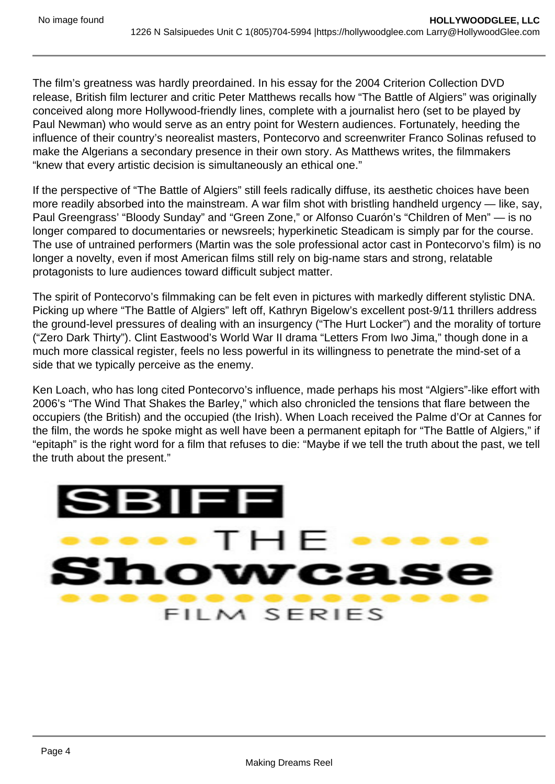The film's greatness was hardly preordained. In his essay for the 2004 Criterion Collection DVD release, British film lecturer and critic Peter Matthews recalls how "The Battle of Algiers" was originally conceived along more Hollywood-friendly lines, complete with a journalist hero (set to be played by Paul Newman) who would serve as an entry point for Western audiences. Fortunately, heeding the influence of their country's neorealist masters, Pontecorvo and screenwriter Franco Solinas refused to make the Algerians a secondary presence in their own story. As Matthews writes, the filmmakers "knew that every artistic decision is simultaneously an ethical one."

If the perspective of "The Battle of Algiers" still feels radically diffuse, its aesthetic choices have been more readily absorbed into the mainstream. A war film shot with bristling handheld urgency — like, say, Paul Greengrass' "Bloody Sunday" and "Green Zone," or Alfonso Cuarón's "Children of Men" — is no longer compared to documentaries or newsreels; hyperkinetic Steadicam is simply par for the course. The use of untrained performers (Martin was the sole professional actor cast in Pontecorvo's film) is no longer a novelty, even if most American films still rely on big-name stars and strong, relatable protagonists to lure audiences toward difficult subject matter.

The spirit of Pontecorvo's filmmaking can be felt even in pictures with markedly different stylistic DNA. Picking up where "The Battle of Algiers" left off, Kathryn Bigelow's excellent post-9/11 thrillers address the ground-level pressures of dealing with an insurgency ("The Hurt Locker") and the morality of torture ("Zero Dark Thirty"). Clint Eastwood's World War II drama "Letters From Iwo Jima," though done in a much more classical register, feels no less powerful in its willingness to penetrate the mind-set of a side that we typically perceive as the enemy.

Ken Loach, who has long cited Pontecorvo's influence, made perhaps his most "Algiers"-like effort with 2006's "The Wind That Shakes the Barley," which also chronicled the tensions that flare between the occupiers (the British) and the occupied (the Irish). When Loach received the Palme d'Or at Cannes for the film, the words he spoke might as well have been a permanent epitaph for "The Battle of Algiers," if "epitaph" is the right word for a film that refuses to die: "Maybe if we tell the truth about the past, we tell the truth about the present."

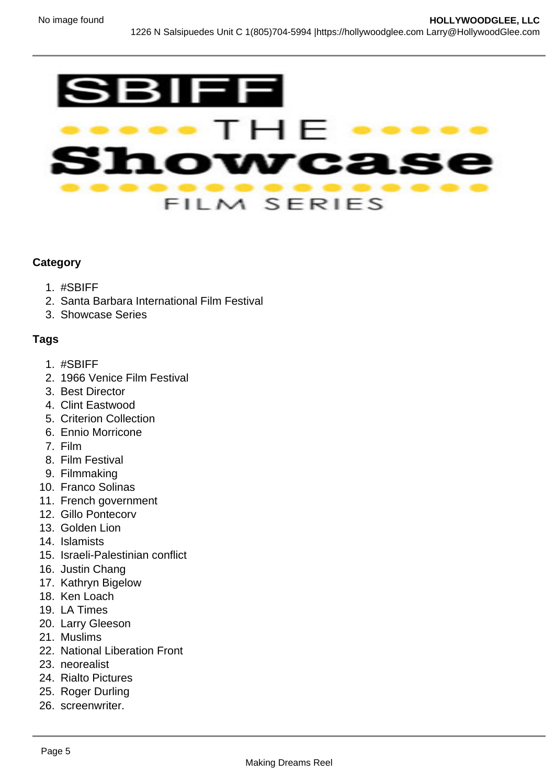

#### **Category**

- 1. #SBIFF
- 2. Santa Barbara International Film Festival
- 3. Showcase Series

## **Tags**

- 1. #SBIFF
- 2. 1966 Venice Film Festival
- 3. Best Director
- 4. Clint Eastwood
- 5. Criterion Collection
- 6. Ennio Morricone
- 7. Film
- 8. Film Festival
- 9. Filmmaking
- 10. Franco Solinas
- 11. French government
- 12. Gillo Pontecorv
- 13. Golden Lion
- 14. Islamists
- 15. Israeli-Palestinian conflict
- 16. Justin Chang
- 17. Kathryn Bigelow
- 18. Ken Loach
- 19. LA Times
- 20. Larry Gleeson
- 21. Muslims
- 22. National Liberation Front
- 23. neorealist
- 24. Rialto Pictures
- 25. Roger Durling
- 26. screenwriter.